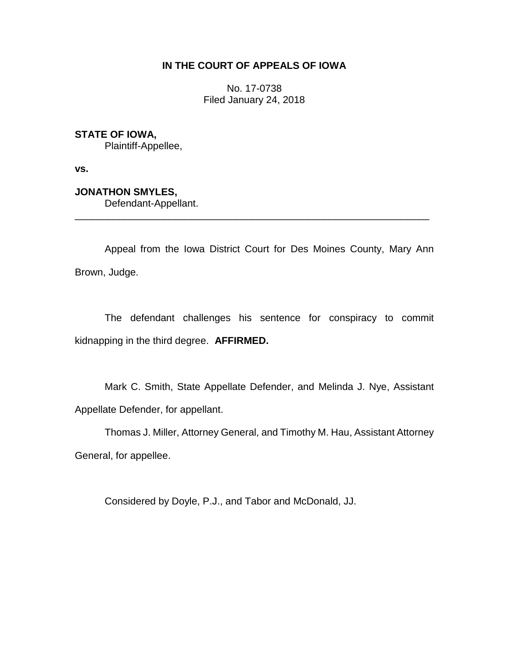## **IN THE COURT OF APPEALS OF IOWA**

No. 17-0738 Filed January 24, 2018

**STATE OF IOWA,**

Plaintiff-Appellee,

**vs.**

**JONATHON SMYLES,**

Defendant-Appellant.

Appeal from the Iowa District Court for Des Moines County, Mary Ann Brown, Judge.

\_\_\_\_\_\_\_\_\_\_\_\_\_\_\_\_\_\_\_\_\_\_\_\_\_\_\_\_\_\_\_\_\_\_\_\_\_\_\_\_\_\_\_\_\_\_\_\_\_\_\_\_\_\_\_\_\_\_\_\_\_\_\_\_

The defendant challenges his sentence for conspiracy to commit kidnapping in the third degree. **AFFIRMED.**

Mark C. Smith, State Appellate Defender, and Melinda J. Nye, Assistant Appellate Defender, for appellant.

Thomas J. Miller, Attorney General, and Timothy M. Hau, Assistant Attorney General, for appellee.

Considered by Doyle, P.J., and Tabor and McDonald, JJ.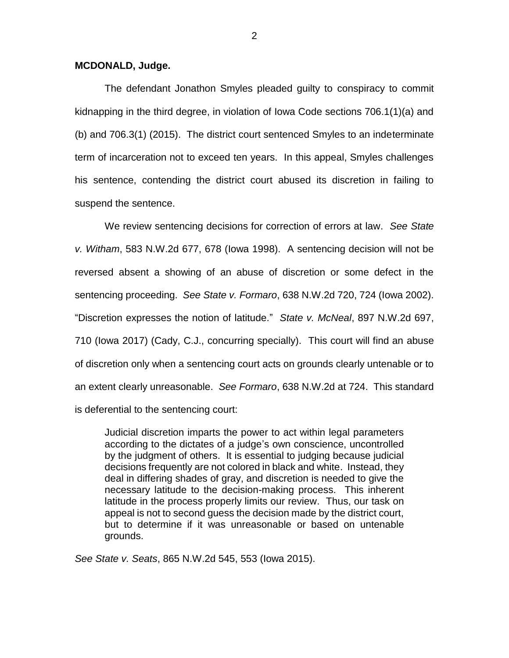## **MCDONALD, Judge.**

The defendant Jonathon Smyles pleaded guilty to conspiracy to commit kidnapping in the third degree, in violation of Iowa Code sections 706.1(1)(a) and (b) and 706.3(1) (2015). The district court sentenced Smyles to an indeterminate term of incarceration not to exceed ten years. In this appeal, Smyles challenges his sentence, contending the district court abused its discretion in failing to suspend the sentence.

We review sentencing decisions for correction of errors at law. *See State v. Witham*, 583 N.W.2d 677, 678 (Iowa 1998). A sentencing decision will not be reversed absent a showing of an abuse of discretion or some defect in the sentencing proceeding. *See State v. Formaro*, 638 N.W.2d 720, 724 (Iowa 2002). "Discretion expresses the notion of latitude." *State v. McNeal*, 897 N.W.2d 697, 710 (Iowa 2017) (Cady, C.J., concurring specially). This court will find an abuse of discretion only when a sentencing court acts on grounds clearly untenable or to an extent clearly unreasonable. *See Formaro*, 638 N.W.2d at 724. This standard is deferential to the sentencing court:

Judicial discretion imparts the power to act within legal parameters according to the dictates of a judge's own conscience, uncontrolled by the judgment of others. It is essential to judging because judicial decisions frequently are not colored in black and white. Instead, they deal in differing shades of gray, and discretion is needed to give the necessary latitude to the decision-making process. This inherent latitude in the process properly limits our review. Thus, our task on appeal is not to second guess the decision made by the district court, but to determine if it was unreasonable or based on untenable grounds.

*See State v. Seats*, 865 N.W.2d 545, 553 (Iowa 2015).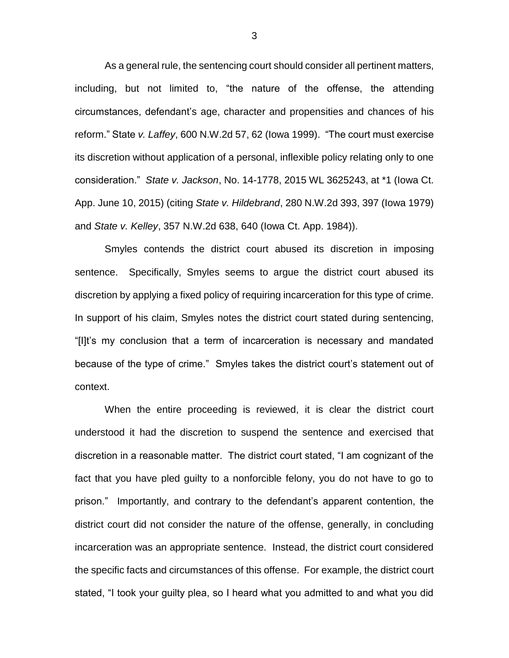As a general rule, the sentencing court should consider all pertinent matters, including, but not limited to, "the nature of the offense, the attending circumstances, defendant's age, character and propensities and chances of his reform." State *v. Laffey*, 600 N.W.2d 57, 62 (Iowa 1999). "The court must exercise its discretion without application of a personal, inflexible policy relating only to one consideration." *State v. Jackson*, No. 14-1778, 2015 WL 3625243, at \*1 (Iowa Ct. App. June 10, 2015) (citing *State v. Hildebrand*, 280 N.W.2d 393, 397 (Iowa 1979) and *State v. Kelley*, 357 N.W.2d 638, 640 (Iowa Ct. App. 1984)).

Smyles contends the district court abused its discretion in imposing sentence. Specifically, Smyles seems to argue the district court abused its discretion by applying a fixed policy of requiring incarceration for this type of crime. In support of his claim, Smyles notes the district court stated during sentencing, "[I]t's my conclusion that a term of incarceration is necessary and mandated because of the type of crime." Smyles takes the district court's statement out of context.

When the entire proceeding is reviewed, it is clear the district court understood it had the discretion to suspend the sentence and exercised that discretion in a reasonable matter. The district court stated, "I am cognizant of the fact that you have pled guilty to a nonforcible felony, you do not have to go to prison." Importantly, and contrary to the defendant's apparent contention, the district court did not consider the nature of the offense, generally, in concluding incarceration was an appropriate sentence. Instead, the district court considered the specific facts and circumstances of this offense. For example, the district court stated, "I took your guilty plea, so I heard what you admitted to and what you did